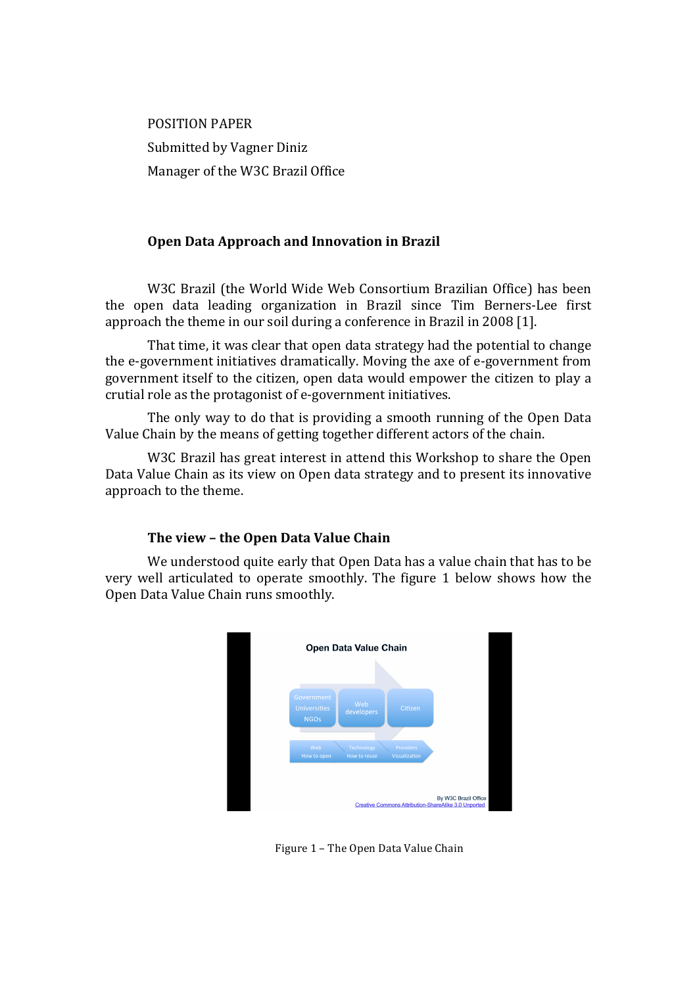**POSITION PAPER** Submitted by Vagner Diniz Manager of the W3C Brazil Office

# Open Data Approach and Innovation in Brazil

W3C Brazil (the World Wide Web Consortium Brazilian Office) has been the open data leading organization in Brazil since Tim Berners-Lee first approach the theme in our soil during a conference in Brazil in 2008 [1].

That time, it was clear that open data strategy had the potential to change the e-government initiatives dramatically. Moving the axe of e-government from government itself to the citizen, open data would empower the citizen to play a crutial role as the protagonist of e-government initiatives.

The only way to do that is providing a smooth running of the Open Data Value Chain by the means of getting together different actors of the chain.

W3C Brazil has great interest in attend this Workshop to share the Open Data Value Chain as its view on Open data strategy and to present its innovative approach to the theme.

# The view - the Open Data Value Chain

We understood quite early that Open Data has a value chain that has to be very well articulated to operate smoothly. The figure 1 below shows how the Open Data Value Chain runs smoothly.



Figure 1 - The Open Data Value Chain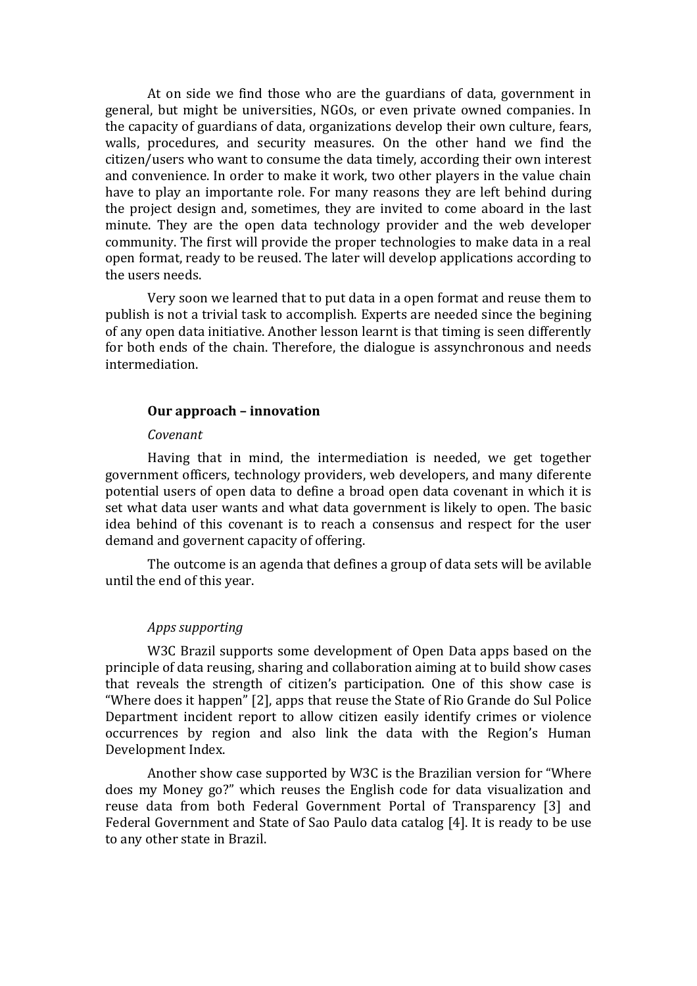At on side we find those who are the guardians of data, government in general, but might be universities, NGOs, or even private owned companies. In the capacity of guardians of data, organizations develop their own culture, fears, walls, procedures, and security measures. On the other hand we find the citizen/users who want to consume the data timely, according their own interest and convenience. In order to make it work, two other players in the value chain have to play an importante role. For many reasons they are left behind during the project design and, sometimes, they are invited to come aboard in the last minute. They are the open data technology provider and the web developer community. The first will provide the proper technologies to make data in a real open format, ready to be reused. The later will develop applications according to the users needs.

Very soon we learned that to put data in a open format and reuse them to publish is not a trivial task to accomplish. Experts are needed since the begining of any open data initiative. Another lesson learnt is that timing is seen differently for both ends of the chain. Therefore, the dialogue is assynchronous and needs intermediation.

#### **Our%approach%– innovation**

#### *Covenant*

Having that in mind, the intermediation is needed, we get together government officers, technology providers, web developers, and many diferente potential users of open data to define a broad open data covenant in which it is set what data user wants and what data government is likely to open. The basic idea behind of this covenant is to reach a consensus and respect for the user demand and governent capacity of offering.

The outcome is an agenda that defines a group of data sets will be avilable until the end of this year.

### Apps supporting

W3C Brazil supports some development of Open Data apps based on the principle of data reusing, sharing and collaboration aiming at to build show cases that reveals the strength of citizen's participation. One of this show case is "Where does it happen" [2], apps that reuse the State of Rio Grande do Sul Police Department incident report to allow citizen easily identify crimes or violence occurrences by region and also link the data with the Region's Human Development Index.

Another show case supported by W3C is the Brazilian version for "Where" does my Money go?" which reuses the English code for data visualization and reuse data from both Federal Government Portal of Transparency [3] and Federal Government and State of Sao Paulo data catalog [4]. It is ready to be use to any other state in Brazil.